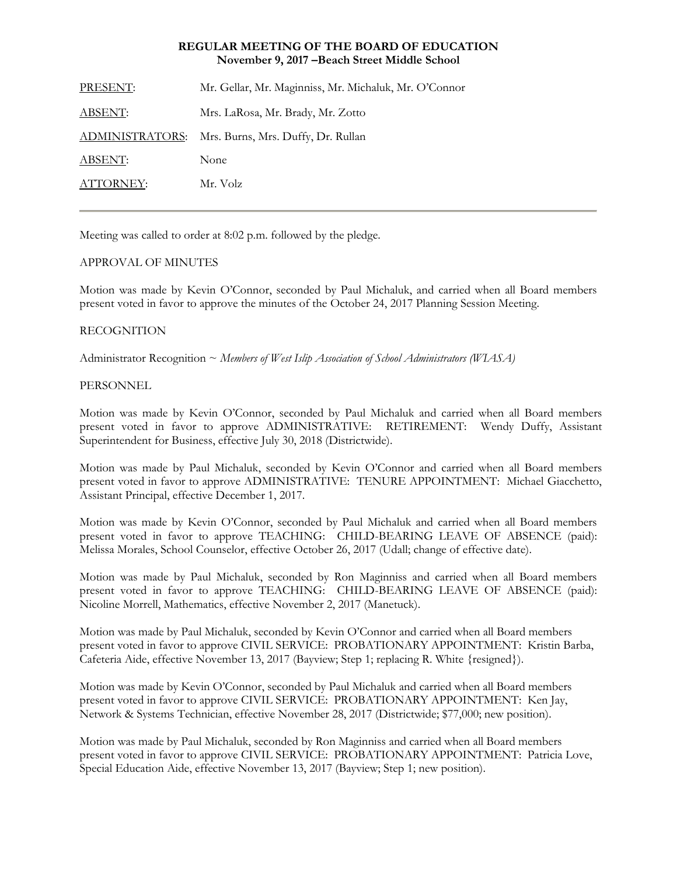#### **REGULAR MEETING OF THE BOARD OF EDUCATION November 9, 2017 –Beach Street Middle School**

| PRESENT:  | Mr. Gellar, Mr. Maginniss, Mr. Michaluk, Mr. O'Connor |
|-----------|-------------------------------------------------------|
| ABSENT:   | Mrs. LaRosa, Mr. Brady, Mr. Zotto                     |
|           | ADMINISTRATORS: Mrs. Burns, Mrs. Duffy, Dr. Rullan    |
| ABSENT:   | None                                                  |
| ATTORNEY: | Mr. Volz                                              |
|           |                                                       |

Meeting was called to order at 8:02 p.m. followed by the pledge.

# APPROVAL OF MINUTES

Motion was made by Kevin O'Connor, seconded by Paul Michaluk, and carried when all Board members present voted in favor to approve the minutes of the October 24, 2017 Planning Session Meeting.

# RECOGNITION

Administrator Recognition ~ *Members of West Islip Association of School Administrators (WIASA)*

# PERSONNEL

Motion was made by Kevin O'Connor, seconded by Paul Michaluk and carried when all Board members present voted in favor to approve ADMINISTRATIVE: RETIREMENT: Wendy Duffy, Assistant Superintendent for Business, effective July 30, 2018 (Districtwide).

Motion was made by Paul Michaluk, seconded by Kevin O'Connor and carried when all Board members present voted in favor to approve ADMINISTRATIVE: TENURE APPOINTMENT: Michael Giacchetto, Assistant Principal, effective December 1, 2017.

Motion was made by Kevin O'Connor, seconded by Paul Michaluk and carried when all Board members present voted in favor to approve TEACHING: CHILD-BEARING LEAVE OF ABSENCE (paid): Melissa Morales, School Counselor, effective October 26, 2017 (Udall; change of effective date).

Motion was made by Paul Michaluk, seconded by Ron Maginniss and carried when all Board members present voted in favor to approve TEACHING: CHILD-BEARING LEAVE OF ABSENCE (paid): Nicoline Morrell, Mathematics, effective November 2, 2017 (Manetuck).

Motion was made by Paul Michaluk, seconded by Kevin O'Connor and carried when all Board members present voted in favor to approve CIVIL SERVICE:PROBATIONARY APPOINTMENT: Kristin Barba, Cafeteria Aide, effective November 13, 2017 (Bayview; Step 1; replacing R. White {resigned}).

Motion was made by Kevin O'Connor, seconded by Paul Michaluk and carried when all Board members present voted in favor to approve CIVIL SERVICE:PROBATIONARY APPOINTMENT: Ken Jay, Network & Systems Technician, effective November 28, 2017 (Districtwide; \$77,000; new position).

Motion was made by Paul Michaluk, seconded by Ron Maginniss and carried when all Board members present voted in favor to approve CIVIL SERVICE:PROBATIONARY APPOINTMENT: Patricia Love, Special Education Aide, effective November 13, 2017 (Bayview; Step 1; new position).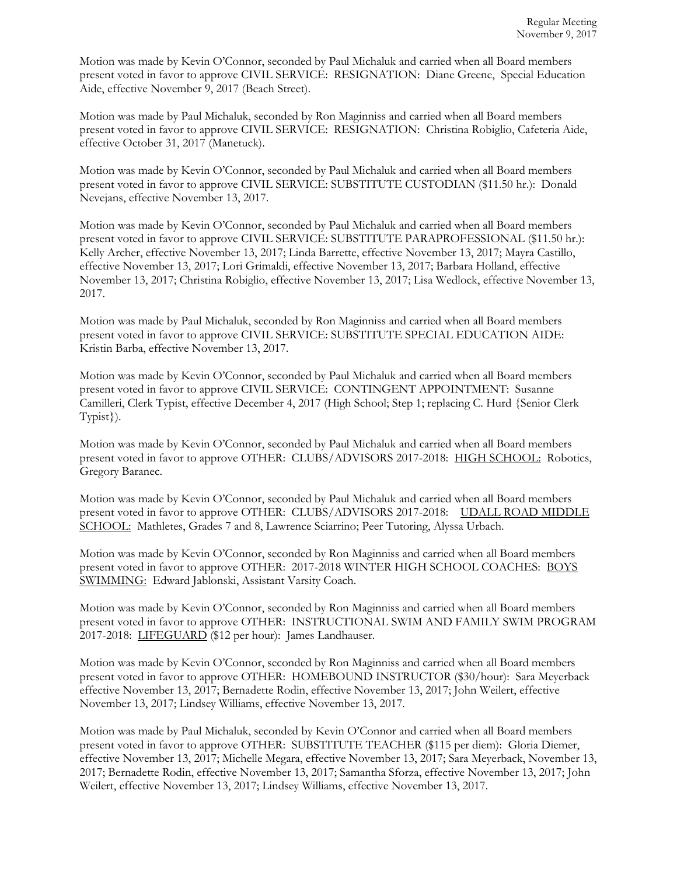Motion was made by Kevin O'Connor, seconded by Paul Michaluk and carried when all Board members present voted in favor to approve CIVIL SERVICE:RESIGNATION: Diane Greene, Special Education Aide, effective November 9, 2017 (Beach Street).

Motion was made by Paul Michaluk, seconded by Ron Maginniss and carried when all Board members present voted in favor to approve CIVIL SERVICE:RESIGNATION: Christina Robiglio, Cafeteria Aide, effective October 31, 2017 (Manetuck).

Motion was made by Kevin O'Connor, seconded by Paul Michaluk and carried when all Board members present voted in favor to approve CIVIL SERVICE: SUBSTITUTE CUSTODIAN (\$11.50 hr.): Donald Nevejans, effective November 13, 2017.

Motion was made by Kevin O'Connor, seconded by Paul Michaluk and carried when all Board members present voted in favor to approve CIVIL SERVICE: SUBSTITUTE PARAPROFESSIONAL (\$11.50 hr.): Kelly Archer, effective November 13, 2017; Linda Barrette, effective November 13, 2017; Mayra Castillo, effective November 13, 2017; Lori Grimaldi, effective November 13, 2017; Barbara Holland, effective November 13, 2017; Christina Robiglio, effective November 13, 2017; Lisa Wedlock, effective November 13, 2017.

Motion was made by Paul Michaluk, seconded by Ron Maginniss and carried when all Board members present voted in favor to approve CIVIL SERVICE: SUBSTITUTE SPECIAL EDUCATION AIDE: Kristin Barba, effective November 13, 2017.

Motion was made by Kevin O'Connor, seconded by Paul Michaluk and carried when all Board members present voted in favor to approve CIVIL SERVICE: CONTINGENT APPOINTMENT: Susanne Camilleri, Clerk Typist, effective December 4, 2017 (High School; Step 1; replacing C. Hurd {Senior Clerk Typist}).

Motion was made by Kevin O'Connor, seconded by Paul Michaluk and carried when all Board members present voted in favor to approve OTHER: CLUBS/ADVISORS 2017-2018: HIGH SCHOOL: Robotics, Gregory Baranec.

Motion was made by Kevin O'Connor, seconded by Paul Michaluk and carried when all Board members present voted in favor to approve OTHER: CLUBS/ADVISORS 2017-2018: UDALL ROAD MIDDLE SCHOOL: Mathletes, Grades 7 and 8, Lawrence Sciarrino; Peer Tutoring, Alyssa Urbach.

Motion was made by Kevin O'Connor, seconded by Ron Maginniss and carried when all Board members present voted in favor to approve OTHER: 2017-2018 WINTER HIGH SCHOOL COACHES: BOYS SWIMMING: Edward Jablonski, Assistant Varsity Coach.

Motion was made by Kevin O'Connor, seconded by Ron Maginniss and carried when all Board members present voted in favor to approve OTHER: INSTRUCTIONAL SWIM AND FAMILY SWIM PROGRAM 2017-2018: LIFEGUARD (\$12 per hour): James Landhauser.

Motion was made by Kevin O'Connor, seconded by Ron Maginniss and carried when all Board members present voted in favor to approve OTHER: HOMEBOUND INSTRUCTOR (\$30/hour): Sara Meyerback effective November 13, 2017; Bernadette Rodin, effective November 13, 2017; John Weilert, effective November 13, 2017; Lindsey Williams, effective November 13, 2017.

Motion was made by Paul Michaluk, seconded by Kevin O'Connor and carried when all Board members present voted in favor to approve OTHER: SUBSTITUTE TEACHER (\$115 per diem): Gloria Diemer, effective November 13, 2017; Michelle Megara, effective November 13, 2017; Sara Meyerback, November 13, 2017; Bernadette Rodin, effective November 13, 2017; Samantha Sforza, effective November 13, 2017; John Weilert, effective November 13, 2017; Lindsey Williams, effective November 13, 2017.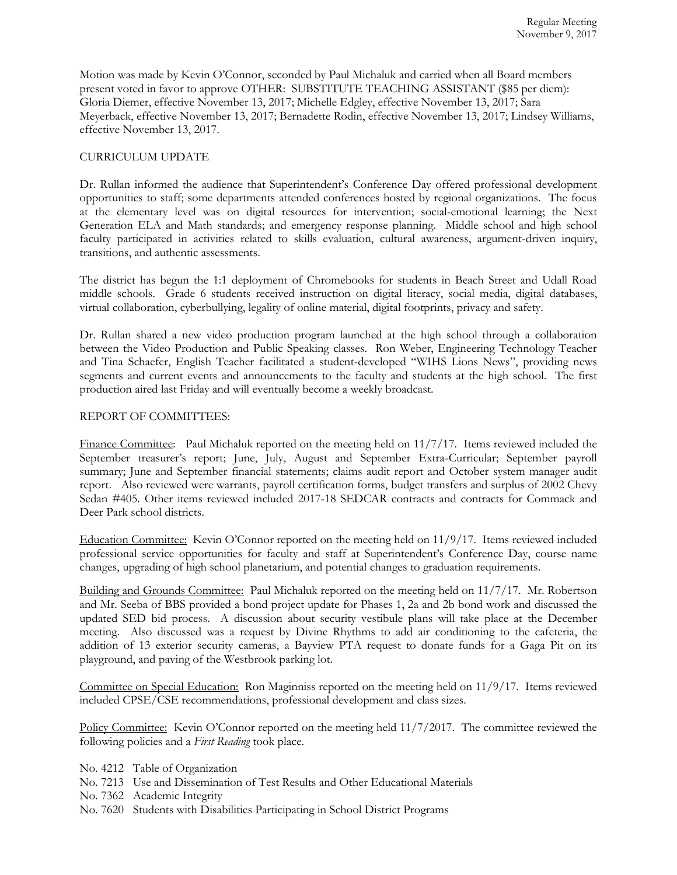Motion was made by Kevin O'Connor, seconded by Paul Michaluk and carried when all Board members present voted in favor to approve OTHER: SUBSTITUTE TEACHING ASSISTANT (\$85 per diem): Gloria Diemer, effective November 13, 2017; Michelle Edgley, effective November 13, 2017; Sara Meyerback, effective November 13, 2017; Bernadette Rodin, effective November 13, 2017; Lindsey Williams, effective November 13, 2017.

# CURRICULUM UPDATE

Dr. Rullan informed the audience that Superintendent's Conference Day offered professional development opportunities to staff; some departments attended conferences hosted by regional organizations. The focus at the elementary level was on digital resources for intervention; social-emotional learning; the Next Generation ELA and Math standards; and emergency response planning. Middle school and high school faculty participated in activities related to skills evaluation, cultural awareness, argument-driven inquiry, transitions, and authentic assessments.

The district has begun the 1:1 deployment of Chromebooks for students in Beach Street and Udall Road middle schools. Grade 6 students received instruction on digital literacy, social media, digital databases, virtual collaboration, cyberbullying, legality of online material, digital footprints, privacy and safety.

Dr. Rullan shared a new video production program launched at the high school through a collaboration between the Video Production and Public Speaking classes. Ron Weber, Engineering Technology Teacher and Tina Schaefer, English Teacher facilitated a student-developed "WIHS Lions News", providing news segments and current events and announcements to the faculty and students at the high school. The first production aired last Friday and will eventually become a weekly broadcast.

# REPORT OF COMMITTEES:

Finance Committee: Paul Michaluk reported on the meeting held on 11/7/17. Items reviewed included the September treasurer's report; June, July, August and September Extra-Curricular; September payroll summary; June and September financial statements; claims audit report and October system manager audit report. Also reviewed were warrants, payroll certification forms, budget transfers and surplus of 2002 Chevy Sedan #405. Other items reviewed included 2017-18 SEDCAR contracts and contracts for Commack and Deer Park school districts.

Education Committee: Kevin O'Connor reported on the meeting held on 11/9/17. Items reviewed included professional service opportunities for faculty and staff at Superintendent's Conference Day, course name changes, upgrading of high school planetarium, and potential changes to graduation requirements.

Building and Grounds Committee: Paul Michaluk reported on the meeting held on 11/7/17. Mr. Robertson and Mr. Seeba of BBS provided a bond project update for Phases 1, 2a and 2b bond work and discussed the updated SED bid process. A discussion about security vestibule plans will take place at the December meeting. Also discussed was a request by Divine Rhythms to add air conditioning to the cafeteria, the addition of 13 exterior security cameras, a Bayview PTA request to donate funds for a Gaga Pit on its playground, and paving of the Westbrook parking lot.

Committee on Special Education: Ron Maginniss reported on the meeting held on 11/9/17. Items reviewed included CPSE/CSE recommendations, professional development and class sizes.

Policy Committee: Kevin O'Connor reported on the meeting held 11/7/2017. The committee reviewed the following policies and a *First Reading* took place.

- No. 4212 Table of Organization
- No. 7213 Use and Dissemination of Test Results and Other Educational Materials
- No. 7362 Academic Integrity
- No. 7620 Students with Disabilities Participating in School District Programs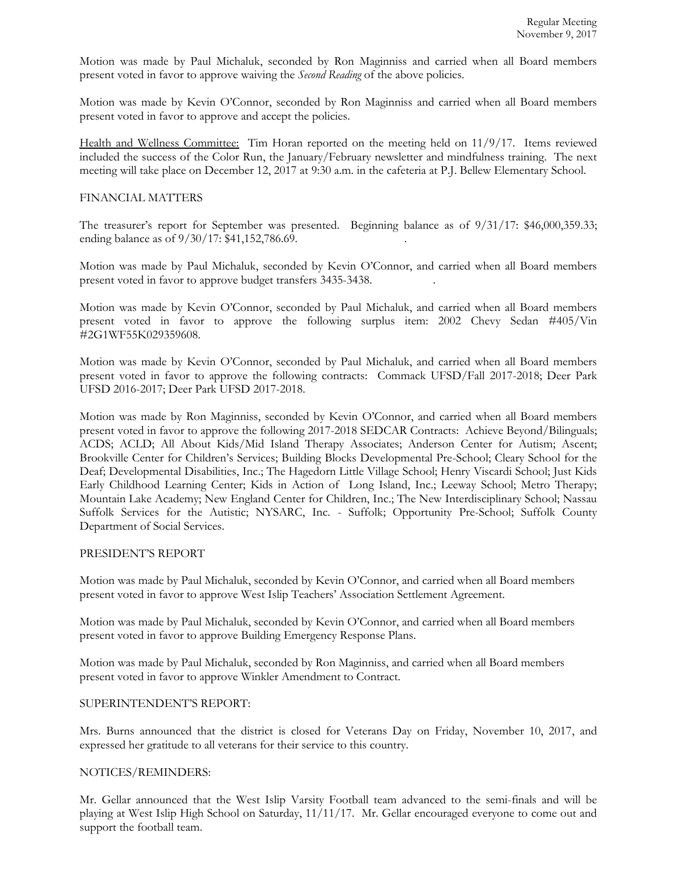Motion was made by Paul Michaluk, seconded by Ron Maginniss and carried when all Board members present voted in favor to approve waiving the *Second Reading* of the above policies.

Motion was made by Kevin O'Connor, seconded by Ron Maginniss and carried when all Board members present voted in favor to approve and accept the policies.

Health and Wellness Committee: Tim Horan reported on the meeting held on 11/9/17. Items reviewed included the success of the Color Run, the January/February newsletter and mindfulness training. The next meeting will take place on December 12, 2017 at 9:30 a.m. in the cafeteria at P.J. Bellew Elementary School.

#### FINANCIAL MATTERS

The treasurer's report for September was presented. Beginning balance as of 9/31/17: \$46,000,359.33; ending balance as of  $9/30/17$ : \$41,152,786.69.

Motion was made by Paul Michaluk, seconded by Kevin O'Connor, and carried when all Board members present voted in favor to approve budget transfers 3435-3438. .

Motion was made by Kevin O'Connor, seconded by Paul Michaluk, and carried when all Board members present voted in favor to approve the following surplus item: 2002 Chevy Sedan #405/Vin #2G1WF55K029359608.

Motion was made by Kevin O'Connor, seconded by Paul Michaluk, and carried when all Board members present voted in favor to approve the following contracts: Commack UFSD/Fall 2017-2018; Deer Park UFSD 2016-2017; Deer Park UFSD 2017-2018.

Motion was made by Ron Maginniss, seconded by Kevin O'Connor, and carried when all Board members present voted in favor to approve the following 2017-2018 SEDCAR Contracts: Achieve Beyond/Bilinguals; ACDS; ACLD; All About Kids/Mid Island Therapy Associates; Anderson Center for Autism; Ascent; Brookville Center for Children's Services; Building Blocks Developmental Pre-School; Cleary School for the Deaf; Developmental Disabilities, Inc.; The Hagedorn Little Village School; Henry Viscardi School; Just Kids Early Childhood Learning Center; Kids in Action of Long Island, Inc.; Leeway School; Metro Therapy; Mountain Lake Academy; New England Center for Children, Inc.; The New Interdisciplinary School; Nassau Suffolk Services for the Autistic; NYSARC, Inc. - Suffolk; Opportunity Pre-School; Suffolk County Department of Social Services.

# PRESIDENT'S REPORT

Motion was made by Paul Michaluk, seconded by Kevin O'Connor, and carried when all Board members present voted in favor to approve West Islip Teachers' Association Settlement Agreement.

Motion was made by Paul Michaluk, seconded by Kevin O'Connor, and carried when all Board members present voted in favor to approve Building Emergency Response Plans.

Motion was made by Paul Michaluk, seconded by Ron Maginniss, and carried when all Board members present voted in favor to approve Winkler Amendment to Contract.

#### SUPERINTENDENT'S REPORT:

Mrs. Burns announced that the district is closed for Veterans Day on Friday, November 10, 2017, and expressed her gratitude to all veterans for their service to this country.

#### NOTICES/REMINDERS:

Mr. Gellar announced that the West Islip Varsity Football team advanced to the semi-finals and will be playing at West Islip High School on Saturday, 11/11/17. Mr. Gellar encouraged everyone to come out and support the football team.